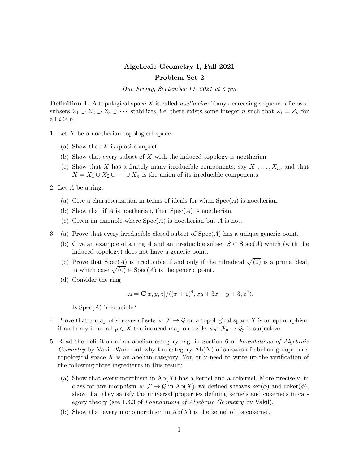## Algebraic Geometry I, Fall 2021 Problem Set 2

Due Friday, September 17, 2021 at 5 pm

**Definition 1.** A topological space X is called *noetherian* if any decreasing sequence of closed subsets  $Z_1 \supset Z_2 \supset Z_3 \supset \cdots$  stabilizes, i.e. there exists some integer n such that  $Z_i = Z_n$  for all  $i \geq n$ .

- 1. Let X be a noetherian topological space.
	- (a) Show that  $X$  is quasi-compact.
	- (b) Show that every subset of X with the induced topology is noetherian.
	- (c) Show that X has a finitely many irreducible components, say  $X_1, \ldots, X_n$ , and that  $X = X_1 \cup X_2 \cup \cdots \cup X_n$  is the union of its irreducible components.
- 2. Let A be a ring.
	- (a) Give a characterization in terms of ideals for when  $Spec(A)$  is noetherian.
	- (b) Show that if A is noetherian, then  $Spec(A)$  is noetherian.
	- (c) Given an example where  $Spec(A)$  is noetherian but A is not.
- 3. (a) Prove that every irreducible closed subset of  $Spec(A)$  has a unique generic point.
	- (b) Give an example of a ring A and an irreducible subset  $S \subset \text{Spec}(A)$  which (with the induced topology) does not have a generic point.
	- (c) Prove that  $Spec(A)$  is irreducible if and only if the nilradical  $\sqrt{(0)}$  is a prime ideal, in which case  $\sqrt{(0)} \in \text{Spec}(A)$  is the generic point.
	- (d) Consider the ring

$$
A = \mathbf{C}[x, y, z]/((x+1)^4, xy+3x+y+3, z^4).
$$

Is  $Spec(A)$  irreducible?

- 4. Prove that a map of sheaves of sets  $\phi: \mathcal{F} \to \mathcal{G}$  on a topological space X is an epimorphism if and only if for all  $p \in X$  the induced map on stalks  $\phi_p : \mathcal{F}_p \to \mathcal{G}_p$  is surjective.
- 5. Read the definition of an abelian category, e.g. in Section 6 of Foundations of Algebraic *Geometry* by Vakil. Work out why the category  $Ab(X)$  of sheaves of abelian groups on a topological space  $X$  is an abelian category. You only need to write up the verification of the following three ingredients in this result:
	- (a) Show that every morphism in  $\mathrm{Ab}(X)$  has a kernel and a cokernel. More precisely, in class for any morphism  $\phi \colon \mathcal{F} \to \mathcal{G}$  in Ab(X), we defined sheaves ker( $\phi$ ) and coker( $\phi$ ); show that they satisfy the universal properties defining kernels and cokernels in category theory (see 1.6.3 of Foundations of Algebraic Geometry by Vakil).
	- (b) Show that every monomorphism in  $\mathrm{Ab}(X)$  is the kernel of its cokernel.